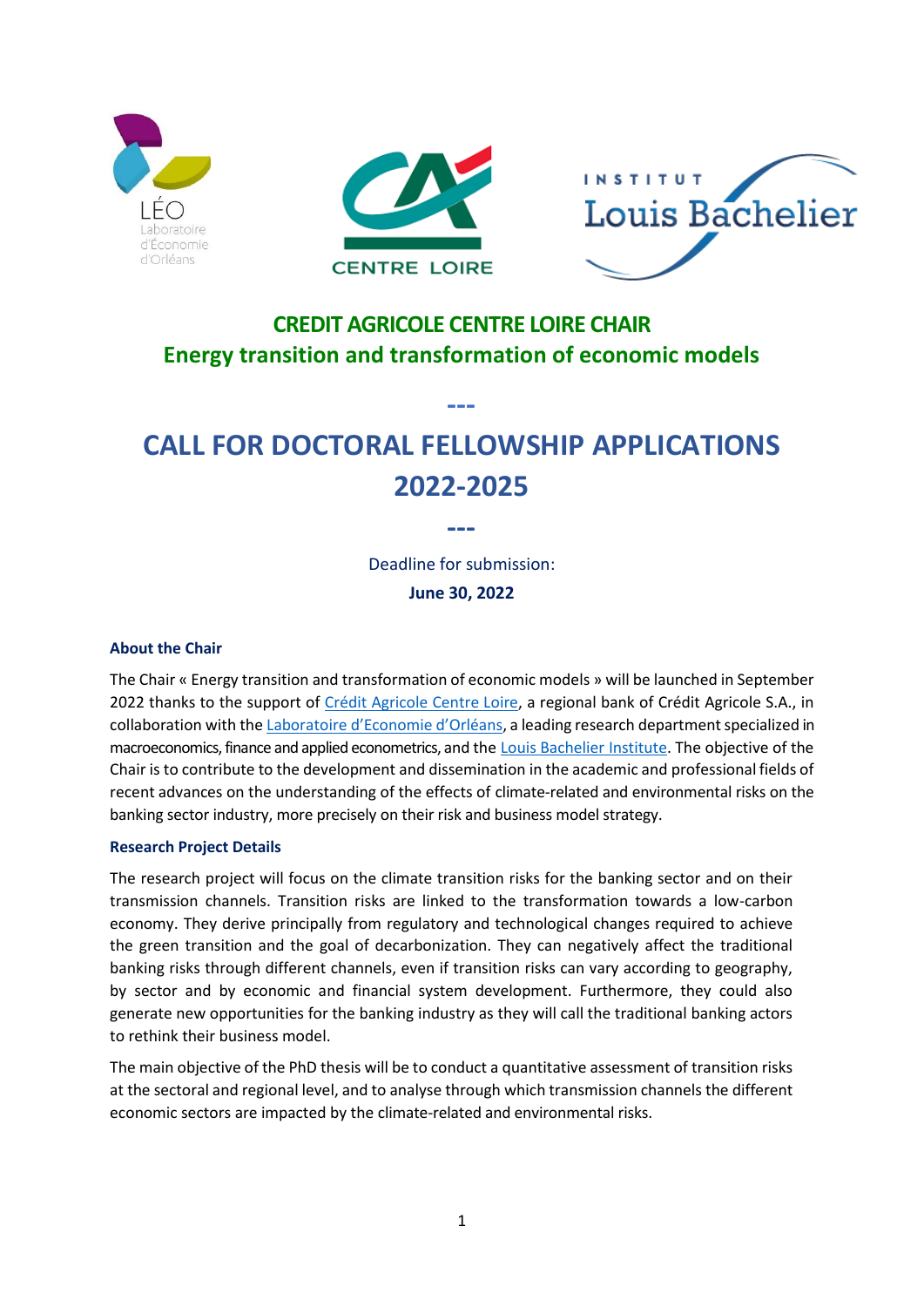





# **CREDIT AGRICOLE CENTRE LOIRE CHAIR Energy transition and transformation of economic models**

# **CALL FOR DOCTORAL FELLOWSHIP APPLICATIONS 2022-2025**

**---**

Deadline for submission: **June 30, 2022**

**---**

### **About the Chair**

The Chair « Energy transition and transformation of economic models » will be launched in September 2022 thanks to the support of Crédit Agricole Centre Loire, a regional bank of Crédit Agricole S.A., in collaboration with the [Laboratoire d'Economie](about:blank) d'Orléans, a leading research department specialized in macroeconomics, finance and applied econometrics, and the Louis [Bachelier](about:blank) Institute. The objective of the Chair is to contribute to the development and dissemination in the academic and professional fields of recent advances on the understanding of the effects of climate-related and environmental risks on the banking sector industry, more precisely on their risk and business model strategy.

#### **Research Project Details**

The research project will focus on the climate transition risks for the banking sector and on their transmission channels. Transition risks are linked to the transformation towards a low-carbon economy. They derive principally from regulatory and technological changes required to achieve the green transition and the goal of decarbonization. They can negatively affect the traditional banking risks through different channels, even if transition risks can vary according to geography, by sector and by economic and financial system development. Furthermore, they could also generate new opportunities for the banking industry as they will call the traditional banking actors to rethink their business model.

The main objective of the PhD thesis will be to conduct a quantitative assessment of transition risks at the sectoral and regional level, and to analyse through which transmission channels the different economic sectors are impacted by the climate-related and environmental risks.